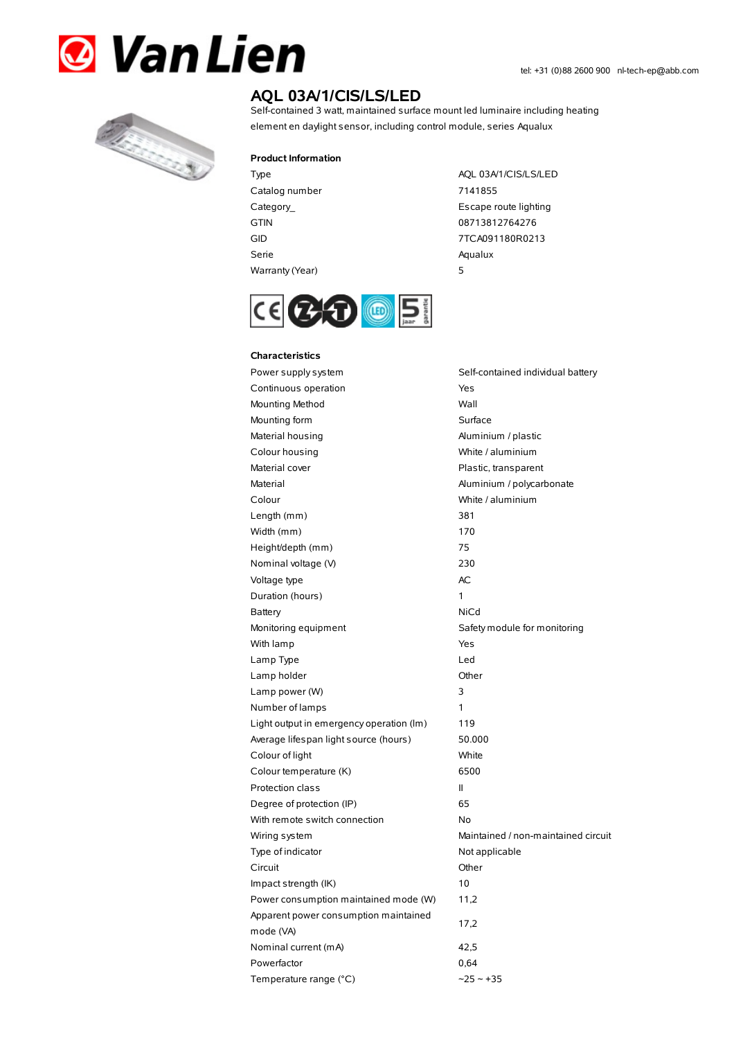



# **AQL 03A/1/CIS/LS/LED**

Self-contained 3 watt, maintained surface mount led luminaire including heating element en daylight sensor, including control module, series Aqualux

#### **Product Information**

Catalog number 7141855 GTIN 08713812764276 Serie Aqualux Warranty(Year) 5

Type AQL 03A/1/CIS/LS/LED Category\_ **Escape route lighting** GID 7TCA091180R0213



#### **Characteristics**

Power supply system Self-contained individual battery Continuous operation The Continuous operation Mounting Method Wall Mounting form **Surface** Material housing **Aluminium / plastic** Colour housing **Colour housing** White / aluminium Material cover **Plastic, transparent** Material Material Aluminium / polycarbonate Colour White / aluminium Length (mm) 381 Width (mm) 170 Height/depth (mm) 75 Nominal voltage (V) 230 Voltage type and a set of the AC Duration (hours) 1 Battery NiCd Monitoring equipment Safety module for monitoring With lamp **Yes** Lamp Type Led Lamp holder **Community** Chern Community Community Chern Chern Chern Chern Chern Chern Chern Chern Chern Chern Chern Chern Chern Chern Chern Chern Chern Chern Chern Chern Chern Chern Chern Chern Chern Chern Chern Chern Cher Lamp power (W) 3 Number of lamps 1 Light output in emergency operation (lm) 119 Average lifespan light source (hours) 50.000 Colour of light White Colour temperature (K) 6500 Protection class II Degree of protection (IP) 65 With remote switch connection No Wiring system **Maintained** / non-maintained circuit Type of indicator Not applicable Circuit Other Impact strength (IK) 10 Power consumption maintained mode (W) 11,2 Apparent power consumption maintained mode (VA) 17,2 Nominal current (mA) 42,5 Powerfactor 0,64 Temperature range (°C)  $\sim$ 25  $\sim$  +35